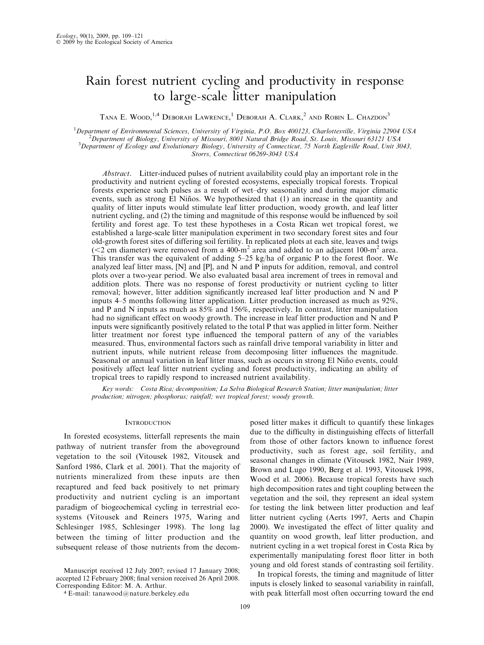# Rain forest nutrient cycling and productivity in response to large-scale litter manipulation

TANA E. WOOD,<sup>1,4</sup> Deborah Lawrence,<sup>1</sup> Deborah A. Clark,<sup>2</sup> and Robin L. Chazdon<sup>3</sup>

<sup>1</sup>Department of Environmental Sciences, University of Virginia, P.O. Box 400123, Charlottesville, Virginia 22904 USA<br><sup>2</sup> Department of Biology, University of Missouri, 8001 Natural Bridge Pood, St. Louis, Missouri 63121 U Department of Biology, University of Missouri, 8001 Natural Bridge Road, St. Louis, Missouri 63121 USA <sup>3</sup>  $3$ Department of Ecology and Evolutionary Biology, University of Connecticut, 75 North Eagleville Road, Unit 3043, Storrs, Connecticut 06269-3043 USA

Abstract. Litter-induced pulses of nutrient availability could play an important role in the productivity and nutrient cycling of forested ecosystems, especially tropical forests. Tropical forests experience such pulses as a result of wet–dry seasonality and during major climatic events, such as strong El Niños. We hypothesized that (1) an increase in the quantity and quality of litter inputs would stimulate leaf litter production, woody growth, and leaf litter nutrient cycling, and (2) the timing and magnitude of this response would be influenced by soil fertility and forest age. To test these hypotheses in a Costa Rican wet tropical forest, we established a large-scale litter manipulation experiment in two secondary forest sites and four old-growth forest sites of differing soil fertility. In replicated plots at each site, leaves and twigs ( $<$ 2 cm diameter) were removed from a 400-m<sup>2</sup> area and added to an adjacent 100-m<sup>2</sup> area. This transfer was the equivalent of adding 5–25 kg/ha of organic P to the forest floor. We analyzed leaf litter mass,  $[N]$  and  $[P]$ , and  $\overline{N}$  and  $\overline{P}$  inputs for addition, removal, and control plots over a two-year period. We also evaluated basal area increment of trees in removal and addition plots. There was no response of forest productivity or nutrient cycling to litter removal; however, litter addition significantly increased leaf litter production and N and P inputs 4–5 months following litter application. Litter production increased as much as 92%, and P and N inputs as much as 85% and 156%, respectively. In contrast, litter manipulation had no significant effect on woody growth. The increase in leaf litter production and N and P inputs were significantly positively related to the total P that was applied in litter form. Neither litter treatment nor forest type influenced the temporal pattern of any of the variables measured. Thus, environmental factors such as rainfall drive temporal variability in litter and nutrient inputs, while nutrient release from decomposing litter influences the magnitude. Seasonal or annual variation in leaf litter mass, such as occurs in strong El Niño events, could positively affect leaf litter nutrient cycling and forest productivity, indicating an ability of tropical trees to rapidly respond to increased nutrient availability.

Key words: Costa Rica; decomposition; La Selva Biological Research Station; litter manipulation; litter production; nitrogen; phosphorus; rainfall; wet tropical forest; woody growth.

### **INTRODUCTION**

In forested ecosystems, litterfall represents the main pathway of nutrient transfer from the aboveground vegetation to the soil (Vitousek 1982, Vitousek and Sanford 1986, Clark et al. 2001). That the majority of nutrients mineralized from these inputs are then recaptured and feed back positively to net primary productivity and nutrient cycling is an important paradigm of biogeochemical cycling in terrestrial ecosystems (Vitousek and Reiners 1975, Waring and Schlesinger 1985, Schlesinger 1998). The long lag between the timing of litter production and the subsequent release of those nutrients from the decom-

Manuscript received 12 July 2007; revised 17 January 2008; accepted 12 February 2008; final version received 26 April 2008. Corresponding Editor: M. A. Arthur.

<sup>4</sup> E-mail: tanawood@nature.berkeley.edu

posed litter makes it difficult to quantify these linkages due to the difficulty in distinguishing effects of litterfall from those of other factors known to influence forest productivity, such as forest age, soil fertility, and seasonal changes in climate (Vitousek 1982, Nair 1989, Brown and Lugo 1990, Berg et al. 1993, Vitousek 1998, Wood et al. 2006). Because tropical forests have such high decomposition rates and tight coupling between the vegetation and the soil, they represent an ideal system for testing the link between litter production and leaf litter nutrient cycling (Aerts 1997, Aerts and Chapin 2000). We investigated the effect of litter quality and quantity on wood growth, leaf litter production, and nutrient cycling in a wet tropical forest in Costa Rica by experimentally manipulating forest floor litter in both young and old forest stands of contrasting soil fertility.

In tropical forests, the timing and magnitude of litter inputs is closely linked to seasonal variability in rainfall, with peak litterfall most often occurring toward the end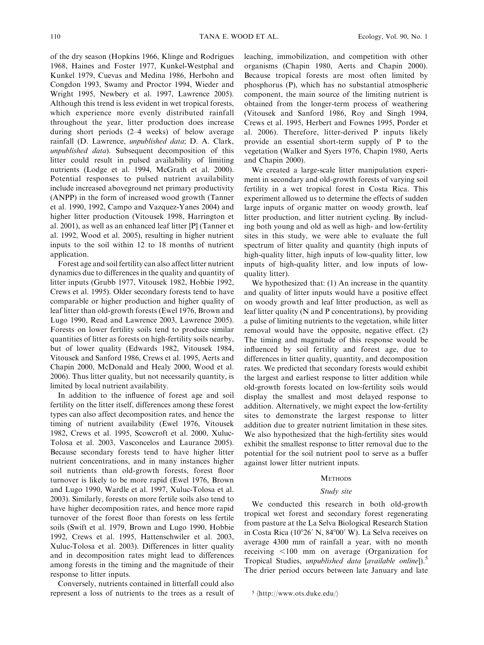of the dry season (Hopkins 1966, Klinge and Rodrigues 1968, Haines and Foster 1977, Kunkel-Westphal and Kunkel 1979, Cuevas and Medina 1986, Herbohn and Congdon 1993, Swamy and Proctor 1994, Wieder and Wright 1995, Newbery et al. 1997, Lawrence 2005). Although this trend is less evident in wet tropical forests, which experience more evenly distributed rainfall throughout the year, litter production does increase during short periods (2–4 weeks) of below average rainfall (D. Lawrence, unpublished data; D. A. Clark, unpublished data). Subsequent decomposition of this litter could result in pulsed availability of limiting nutrients (Lodge et al. 1994, McGrath et al. 2000). Potential responses to pulsed nutrient availability include increased aboveground net primary productivity (ANPP) in the form of increased wood growth (Tanner et al. 1990, 1992, Campo and Vazquez-Yanes 2004) and higher litter production (Vitousek 1998, Harrington et al. 2001), as well as an enhanced leaf litter [P] (Tanner et al. 1992, Wood et al. 2005), resulting in higher nutrient inputs to the soil within 12 to 18 months of nutrient application.

Forest age and soil fertility can also affect litter nutrient dynamics due to differences in the quality and quantity of litter inputs (Grubb 1977, Vitousek 1982, Hobbie 1992, Crews et al. 1995). Older secondary forests tend to have comparable or higher production and higher quality of leaf litter than old-growth forests (Ewel 1976, Brown and Lugo 1990, Read and Lawrence 2003, Lawrence 2005). Forests on lower fertility soils tend to produce similar quantities of litter as forests on high-fertility soils nearby, but of lower quality (Edwards 1982, Vitousek 1984, Vitousek and Sanford 1986, Crews et al. 1995, Aerts and Chapin 2000, McDonald and Healy 2000, Wood et al. 2006). Thus litter quality, but not necessarily quantity, is limited by local nutrient availability.

In addition to the influence of forest age and soil fertility on the litter itself, differences among these forest types can also affect decomposition rates, and hence the timing of nutrient availability (Ewel 1976, Vitousek 1982, Crews et al. 1995, Scowcroft et al. 2000, Xuluc-Tolosa et al. 2003, Vasconcelos and Laurance 2005). Because secondary forests tend to have higher litter nutrient concentrations, and in many instances higher soil nutrients than old-growth forests, forest floor turnover is likely to be more rapid (Ewel 1976, Brown and Lugo 1990, Wardle et al. 1997, Xuluc-Tolosa et al. 2003). Similarly, forests on more fertile soils also tend to have higher decomposition rates, and hence more rapid turnover of the forest floor than forests on less fertile soils (Swift et al. 1979, Brown and Lugo 1990, Hobbie 1992, Crews et al. 1995, Hattenschwiler et al. 2003, Xuluc-Tolosa et al. 2003). Differences in litter quality and in decomposition rates might lead to differences among forests in the timing and the magnitude of their response to litter inputs.

Conversely, nutrients contained in litterfall could also represent a loss of nutrients to the trees as a result of leaching, immobilization, and competition with other organisms (Chapin 1980, Aerts and Chapin 2000). Because tropical forests are most often limited by phosphorus (P), which has no substantial atmospheric component, the main source of the limiting nutrient is obtained from the longer-term process of weathering (Vitousek and Sanford 1986, Roy and Singh 1994, Crews et al. 1995, Herbert and Fownes 1995, Porder et al. 2006). Therefore, litter-derived P inputs likely provide an essential short-term supply of P to the vegetation (Walker and Syers 1976, Chapin 1980, Aerts and Chapin 2000).

We created a large-scale litter manipulation experiment in secondary and old-growth forests of varying soil fertility in a wet tropical forest in Costa Rica. This experiment allowed us to determine the effects of sudden large inputs of organic matter on woody growth, leaf litter production, and litter nutrient cycling. By including both young and old as well as high- and low-fertility sites in this study, we were able to evaluate the full spectrum of litter quality and quantity (high inputs of high-quality litter, high inputs of low-quality litter, low inputs of high-quality litter, and low inputs of lowquality litter).

We hypothesized that: (1) An increase in the quantity and quality of litter inputs would have a positive effect on woody growth and leaf litter production, as well as leaf litter quality (N and P concentrations), by providing a pulse of limiting nutrients to the vegetation, while litter removal would have the opposite, negative effect. (2) The timing and magnitude of this response would be influenced by soil fertility and forest age, due to differences in litter quality, quantity, and decomposition rates. We predicted that secondary forests would exhibit the largest and earliest response to litter addition while old-growth forests located on low-fertility soils would display the smallest and most delayed response to addition. Alternatively, we might expect the low-fertility sites to demonstrate the largest response to litter addition due to greater nutrient limitation in these sites. We also hypothesized that the high-fertility sites would exhibit the smallest response to litter removal due to the potential for the soil nutrient pool to serve as a buffer against lower litter nutrient inputs.

### **METHODS**

#### Study site

We conducted this research in both old-growth tropical wet forest and secondary forest regenerating from pasture at the La Selva Biological Research Station in Costa Rica ( $10^{\circ}26'$  N,  $84^{\circ}00'$  W). La Selva receives on average 4300 mm of rainfall a year, with no month receiving <100 mm on average (Organization for Tropical Studies, *unpublished data* [available online]).<sup>5</sup> The drier period occurs between late January and late

 $5 \langle \text{http://www.ots.duke.edu/}\rangle$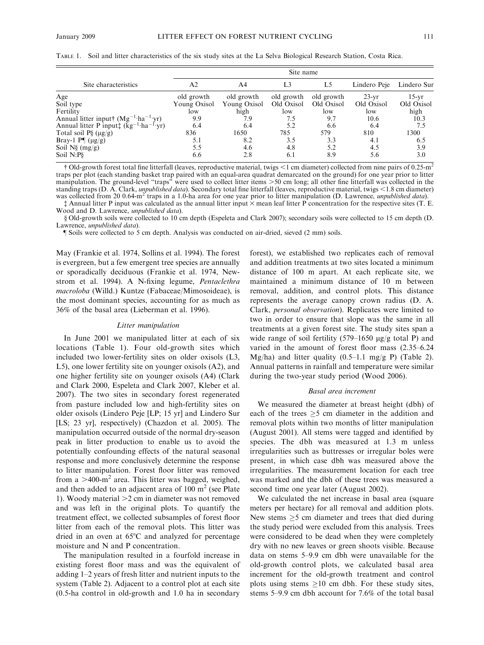|                                                                                            | Site name    |              |                |            |              |             |  |
|--------------------------------------------------------------------------------------------|--------------|--------------|----------------|------------|--------------|-------------|--|
| Site characteristics                                                                       | A2           | A4           | L <sub>3</sub> | L5         | Lindero Peje | Lindero Sur |  |
| Age                                                                                        | old growth   | old growth   | old growth     | old growth | $23-yr$      | $15-vr$     |  |
| Soil type                                                                                  | Young Oxisol | Young Oxisol | Old Oxisol     | Old Oxisol | Old Oxisol   | Old Oxisol  |  |
| Fertility                                                                                  | low          | high         | low            | low        | low          | high        |  |
| Annual litter input† $(Mg^{-1} \cdot ha^{-1} \cdot yr)$                                    | 9.9          | 7.9          | 7.5            | 9.7        | 10.6         | 10.3        |  |
| Annual litter P input <sup><math>\pm</math></sup> (kg <sup>-1</sup> ·ha <sup>-1</sup> ·yr) | 6.4          | 6.4          | 5.2            | 6.6        | 6.4          | 7.5         |  |
| Total soil $P\S (\mu g/g)$                                                                 | 836          | 1650         | 785            | 579        | 810          | 1300        |  |
| Bray-1 $P\P(\mu g/g)$                                                                      | 5.1          | 8.2          | 3.5            | 3.3        | 4.1          | 6.5         |  |
| Soil $N\S$ (mg/g)                                                                          | 5.5          | 4.6          | 4.8            | 5.2        | 4.5          | 3.9         |  |
| Soil N:P§                                                                                  | 6.6          | 2.8          | 6.1            | 8.9        | 5.6          | 3.0         |  |

TABLE 1. Soil and litter characteristics of the six study sites at the La Selva Biological Research Station, Costa Rica.

† Old-growth forest total fine litterfall (leaves, reproductive material, twigs <1 cm diameter) collected from nine pairs of 0.25-m<sup>2</sup> traps per plot (each standing basket trap paired with an equal-area quadrat demarcated on the ground) for one year prior to litter manipulation. The ground-level "traps" were used to collect litter items >50 cm long; all other fine litterfall was collected in the standing traps (D. A. Clark, *unpublished data*). Secondary total fine litterfall (leaves, reproductive material, twigs  $\leq 1.8$  cm diameter) was collected from 20 0.64-m<sup>2</sup> traps in a 1.0-ha area for one year prior to litter manipulation (D. Lawrence, *unpublished data*).

 $\ddagger$  Annual litter P input was calculated as the annual litter input  $\times$  mean leaf litter P concentration for the respective sites (T. E. Wood and D. Lawrence, unpublished data).

§ Old-growth soils were collected to 10 cm depth (Espeleta and Clark 2007); secondary soils were collected to 15 cm depth (D. Lawrence, unpublished data).

} Soils were collected to 5 cm depth. Analysis was conducted on air-dried, sieved (2 mm) soils.

May (Frankie et al. 1974, Sollins et al. 1994). The forest is evergreen, but a few emergent tree species are annually or sporadically deciduous (Frankie et al. 1974, Newstrom et al. 1994). A N-fixing legume, *Pentaclethra* macroloba (Willd.) Kuntze (Fabaceae/Mimosoideae), is the most dominant species, accounting for as much as 36% of the basal area (Lieberman et al. 1996).

#### Litter manipulation

In June 2001 we manipulated litter at each of six locations (Table 1). Four old-growth sites which included two lower-fertility sites on older oxisols (L3, L5), one lower fertility site on younger oxisols (A2), and one higher fertility site on younger oxisols (A4) (Clark and Clark 2000, Espeleta and Clark 2007, Kleber et al. 2007). The two sites in secondary forest regenerated from pasture included low and high-fertility sites on older oxisols (Lindero Peje [LP; 15 yr] and Lindero Sur [LS; 23 yr], respectively) (Chazdon et al. 2005). The manipulation occurred outside of the normal dry-season peak in litter production to enable us to avoid the potentially confounding effects of the natural seasonal response and more conclusively determine the response to litter manipulation. Forest floor litter was removed from a  $>400\text{-m}^2$  area. This litter was bagged, weighed, and then added to an adjacent area of  $100 \text{ m}^2$  (see Plate 1). Woody material  $>2$  cm in diameter was not removed and was left in the original plots. To quantify the treatment effect, we collected subsamples of forest floor litter from each of the removal plots. This litter was dried in an oven at  $65^{\circ}$ C and analyzed for percentage moisture and N and P concentration.

The manipulation resulted in a fourfold increase in existing forest floor mass and was the equivalent of adding 1–2 years of fresh litter and nutrient inputs to the system (Table 2). Adjacent to a control plot at each site (0.5-ha control in old-growth and 1.0 ha in secondary forest), we established two replicates each of removal and addition treatments at two sites located a minimum distance of 100 m apart. At each replicate site, we maintained a minimum distance of 10 m between removal, addition, and control plots. This distance represents the average canopy crown radius (D. A. Clark, personal observation). Replicates were limited to two in order to ensure that slope was the same in all treatments at a given forest site. The study sites span a wide range of soil fertility (579–1650  $\mu$ g/g total P) and varied in the amount of forest floor mass (2.35–6.24 Mg/ha) and litter quality  $(0.5-1.1 \text{ mg/g P})$  (Table 2). Annual patterns in rainfall and temperature were similar during the two-year study period (Wood 2006).

#### Basal area increment

We measured the diameter at breast height (dbh) of each of the trees  $\geq$ 5 cm diameter in the addition and removal plots within two months of litter manipulation (August 2001). All stems were tagged and identified by species. The dbh was measured at 1.3 m unless irregularities such as buttresses or irregular boles were present, in which case dbh was measured above the irregularities. The measurement location for each tree was marked and the dbh of these trees was measured a second time one year later (August 2002).

We calculated the net increase in basal area (square meters per hectare) for all removal and addition plots. New stems  $\geq$ 5 cm diameter and trees that died during the study period were excluded from this analysis. Trees were considered to be dead when they were completely dry with no new leaves or green shoots visible. Because data on stems 5–9.9 cm dbh were unavailable for the old-growth control plots, we calculated basal area increment for the old-growth treatment and control plots using stems  $\geq 10$  cm dbh. For these study sites, stems 5–9.9 cm dbh account for 7.6% of the total basal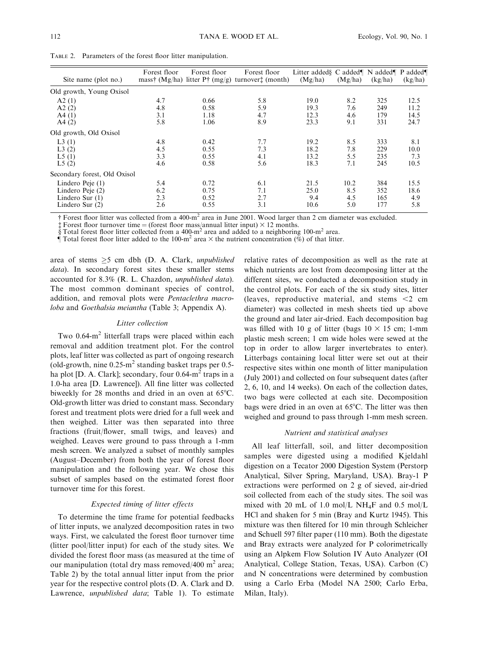| Site name (plot no.)         | Forest floor | Forest floor | Forest floor<br>mass† (Mg/ha) litter $P^+$ (mg/g) turnover $\ddagger$ (month) | Litter added C added   N added   P added  <br>(Mg/ha) | (Mg/ha) | (kg/ha) | (kg/ha) |
|------------------------------|--------------|--------------|-------------------------------------------------------------------------------|-------------------------------------------------------|---------|---------|---------|
| Old growth, Young Oxisol     |              |              |                                                                               |                                                       |         |         |         |
| A2(1)                        | 4.7          | 0.66         | 5.8                                                                           | 19.0                                                  | 8.2     | 325     | 12.5    |
| A2(2)                        | 4.8          | 0.58         | 5.9                                                                           | 19.3                                                  | 7.6     | 249     | 11.2    |
| A4(1)                        | 3.1          | 1.18         | 4.7                                                                           | 12.3                                                  | 4.6     | 179     | 14.5    |
| A4(2)                        | 5.8          | 1.06         | 8.9                                                                           | 23.3                                                  | 9.1     | 331     | 24.7    |
| Old growth, Old Oxisol       |              |              |                                                                               |                                                       |         |         |         |
| L3(1)                        | 4.8          | 0.42         | 7.7                                                                           | 19.2                                                  | 8.5     | 333     | 8.1     |
| L3(2)                        | 4.5          | 0.55         | 7.3                                                                           | 18.2                                                  | 7.8     | 229     | 10.0    |
| L5(1)                        | 3.3          | 0.55         | 4.1                                                                           | 13.2                                                  | 5.5     | 235     | 7.3     |
| L5(2)                        | 4.6          | 0.58         | 5.6                                                                           | 18.3                                                  | 7.1     | 245     | 10.5    |
| Secondary forest, Old Oxisol |              |              |                                                                               |                                                       |         |         |         |
| Lindero Peje (1)             | 5.4          | 0.72         | 6.1                                                                           | 21.5                                                  | 10.2    | 384     | 15.5    |
| Lindero Peje (2)             | 6.2          | 0.75         | 7.1                                                                           | 25.0                                                  | 8.5     | 352     | 18.6    |
| Lindero Sur $(1)$            | 2.3          | 0.52         | 2.7                                                                           | 9.4                                                   | 4.5     | 165     | 4.9     |
| Lindero Sur (2)              | 2.6          | 0.55         | 3.1                                                                           | 10.6                                                  | 5.0     | 177     | 5.8     |

TABLE 2. Parameters of the forest floor litter manipulation.

† Forest floor litter was collected from a 400-m<sup>2</sup> area in June 2001. Wood larger than 2 cm diameter was excluded.

 $\ddagger$  Forest floor turnover time = (forest floor mass/annual litter input)  $\times$  12 months.

§ Total forest floor litter collected from a 400-m<sup>2</sup> area and added to a neighboring 100-m<sup>2</sup> area.

 $\hat{\mathbb{I}}$  Total forest floor litter added to the 100-m<sup>2</sup> area  $\times$  the nutrient concentration (%) of that litter.

area of stems  $\geq$ 5 cm dbh (D. A. Clark, *unpublished* data). In secondary forest sites these smaller stems accounted for 8.3% (R. L. Chazdon, unpublished data). The most common dominant species of control, addition, and removal plots were Pentaclethra macroloba and Goethalsia meiantha (Table 3; Appendix A).

# Litter collection

Two  $0.64 \text{--} \text{m}^2$  litterfall traps were placed within each removal and addition treatment plot. For the control plots, leaf litter was collected as part of ongoing research (old-growth, nine  $0.25 \text{m}^2$  standing basket traps per 0.5ha plot [D. A. Clark]; secondary, four  $0.64 \text{--} m^2$  traps in a 1.0-ha area [D. Lawrence]). All fine litter was collected biweekly for 28 months and dried in an oven at  $65^{\circ}$ C. Old-growth litter was dried to constant mass. Secondary forest and treatment plots were dried for a full week and then weighed. Litter was then separated into three fractions (fruit/flower, small twigs, and leaves) and weighed. Leaves were ground to pass through a 1-mm mesh screen. We analyzed a subset of monthly samples (August–December) from both the year of forest floor manipulation and the following year. We chose this subset of samples based on the estimated forest floor turnover time for this forest.

## Expected timing of litter effects

To determine the time frame for potential feedbacks of litter inputs, we analyzed decomposition rates in two ways. First, we calculated the forest floor turnover time (litter pool/litter input) for each of the study sites. We divided the forest floor mass (as measured at the time of our manipulation (total dry mass removed/400  $m<sup>2</sup>$  area; Table 2) by the total annual litter input from the prior year for the respective control plots (D. A. Clark and D. Lawrence, unpublished data; Table 1). To estimate

relative rates of decomposition as well as the rate at which nutrients are lost from decomposing litter at the different sites, we conducted a decomposition study in the control plots. For each of the six study sites, litter (leaves, reproductive material, and stems  $\leq$  cm diameter) was collected in mesh sheets tied up above the ground and later air-dried. Each decomposition bag was filled with 10 g of litter (bags  $10 \times 15$  cm; 1-mm plastic mesh screen; 1 cm wide holes were sewed at the top in order to allow larger invertebrates to enter). Litterbags containing local litter were set out at their respective sites within one month of litter manipulation (July 2001) and collected on four subsequent dates (after 2, 6, 10, and 14 weeks). On each of the collection dates, two bags were collected at each site. Decomposition bags were dried in an oven at 65°C. The litter was then weighed and ground to pass through 1-mm mesh screen.

## Nutrient and statistical analyses

All leaf litterfall, soil, and litter decomposition samples were digested using a modified Kjeldahl digestion on a Tecator 2000 Digestion System (Perstorp Analytical, Silver Spring, Maryland, USA). Bray-1 P extractions were performed on 2 g of sieved, air-dried soil collected from each of the study sites. The soil was mixed with 20 mL of 1.0 mol/L NH<sub>4</sub>F and 0.5 mol/L HCl and shaken for 5 min (Bray and Kurtz 1945). This mixture was then filtered for 10 min through Schleicher and Schuell 597 filter paper (110 mm). Both the digestate and Bray extracts were analyzed for P colorimetrically using an Alpkem Flow Solution IV Auto Analyzer (OI Analytical, College Station, Texas, USA). Carbon (C) and N concentrations were determined by combustion using a Carlo Erba (Model NA 2500; Carlo Erba, Milan, Italy).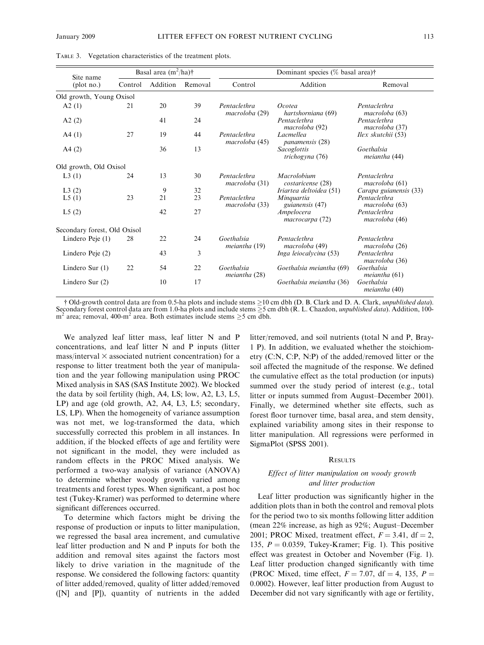| Site name                    | Basal area $(m^2/ha)$ † |          |         | Dominant species (% basal area)† |                                     |                                |  |
|------------------------------|-------------------------|----------|---------|----------------------------------|-------------------------------------|--------------------------------|--|
| (plot no.)                   | Control                 | Addition | Removal | Control                          | Addition                            | Removal                        |  |
| Old growth, Young Oxisol     |                         |          |         |                                  |                                     |                                |  |
| A2(1)                        | 21                      | 20       | 39      | Pentaclethra<br>macroloba (29)   | Ocotea<br>hartshorniana (69)        | Pentaclethra<br>macroloba (63) |  |
| A2(2)                        |                         | 41       | 24      |                                  | Pentaclethra<br>macroloba (92)      | Pentaclethra<br>macroloba (37) |  |
| A4(1)                        | 27                      | 19       | 44      | Pentaclethra<br>macroloba (45)   | Lacmellea<br><i>panamensis</i> (28) | Ilex skutchii (53)             |  |
| A4(2)                        |                         | 36       | 13      |                                  | Sacoglottis<br>trichogyna (76)      | Goethalsia<br>meiantha (44)    |  |
| Old growth, Old Oxisol       |                         |          |         |                                  |                                     |                                |  |
| L3(1)                        | 24                      | 13       | 30      | Pentaclethra<br>macroloba (31)   | Macrolobium<br>costaricense (28)    | Pentaclethra<br>macroloba (61) |  |
| L3(2)                        |                         | 9        | 32      |                                  | Iriartea deltoidea (51)             | Carapa guianensis (33)         |  |
| L5(1)                        | 23                      | 21       | 23      | Pentaclethra<br>macroloba (33)   | Minguartia<br>guianensis (47)       | Pentaclethra<br>macroloba (63) |  |
| L5(2)                        |                         | 42       | 27      |                                  | Ampelocera<br>macrocarpa (72)       | Pentaclethra<br>macroloba (46) |  |
| Secondary forest, Old Oxisol |                         |          |         |                                  |                                     |                                |  |
| Lindero Peje (1)             | 28                      | 22       | 24      | Goethalsia<br>meiantha (19)      | Pentaclethra<br>macroloba (49)      | Pentaclethra<br>macroloba (26) |  |
| Lindero Peje (2)             |                         | 43       | 3       |                                  | Inga leiocalycina (53)              | Pentaclethra<br>macroloba (36) |  |
| Lindero Sur $(1)$            | 22                      | 54       | 22      | Goethalsia<br>meiantha (28)      | Goethalsia meiantha (69)            | Goethalsia<br>meiantha(61)     |  |
| Lindero Sur $(2)$            |                         | 10       | 17      |                                  | Goethalsia meiantha (36)            | Goethalsia<br>meiantha (40)    |  |

TABLE 3. Vegetation characteristics of the treatment plots.

† Old-growth control data are from 0.5-ha plots and include stems ≥10 cm dbh (D. B. Clark and D. A. Clark, *unpublished data*). Secondary forest control data are from 1.0-ha plots and include stems  $\geq$ 5 cm dbh (R. L. Chazdon, *unpublished data*). Addition, 100 $m^2$  area; removal, 400-m<sup>2</sup> area. Both estimates include stems  $\geq$ 5 cm dbh.

We analyzed leaf litter mass, leaf litter N and P concentrations, and leaf litter N and P inputs (litter  $mass/interval \times associated nutrient concentration)$  for a response to litter treatment both the year of manipulation and the year following manipulation using PROC Mixed analysis in SAS (SAS Institute 2002). We blocked the data by soil fertility (high, A4, LS; low, A2, L3, L5, LP) and age (old growth, A2, A4, L3, L5; secondary, LS, LP). When the homogeneity of variance assumption was not met, we log-transformed the data, which successfully corrected this problem in all instances. In addition, if the blocked effects of age and fertility were not significant in the model, they were included as random effects in the PROC Mixed analysis. We performed a two-way analysis of variance (ANOVA) to determine whether woody growth varied among treatments and forest types. When significant, a post hoc test (Tukey-Kramer) was performed to determine where significant differences occurred.

To determine which factors might be driving the response of production or inputs to litter manipulation, we regressed the basal area increment, and cumulative leaf litter production and N and P inputs for both the addition and removal sites against the factors most likely to drive variation in the magnitude of the response. We considered the following factors: quantity of litter added/removed, quality of litter added/removed ([N] and [P]), quantity of nutrients in the added

litter/removed, and soil nutrients (total N and P, Bray-1 P). In addition, we evaluated whether the stoichiometry (C:N, C:P, N:P) of the added/removed litter or the soil affected the magnitude of the response. We defined the cumulative effect as the total production (or inputs) summed over the study period of interest (e.g., total litter or inputs summed from August–December 2001). Finally, we determined whether site effects, such as forest floor turnover time, basal area, and stem density, explained variability among sites in their response to litter manipulation. All regressions were performed in SigmaPlot (SPSS 2001).

### **RESULTS**

## Effect of litter manipulation on woody growth and litter production

Leaf litter production was significantly higher in the addition plots than in both the control and removal plots for the period two to six months following litter addition (mean 22% increase, as high as 92%; August–December 2001; PROC Mixed, treatment effect,  $F = 3.41$ , df = 2, 135,  $P = 0.0359$ , Tukey-Kramer; Fig. 1). This positive effect was greatest in October and November (Fig. 1). Leaf litter production changed significantly with time (PROC Mixed, time effect,  $F = 7.07$ , df = 4, 135,  $P =$ 0.0002). However, leaf litter production from August to December did not vary significantly with age or fertility,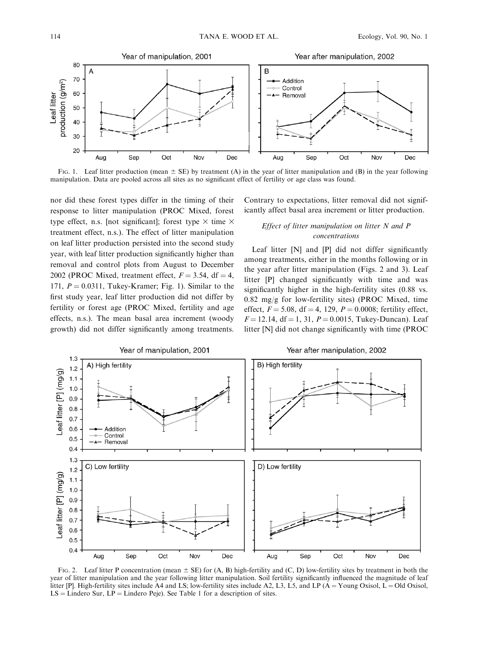

FIG. 1. Leaf litter production (mean  $\pm$  SE) by treatment (A) in the year of litter manipulation and (B) in the year following manipulation. Data are pooled across all sites as no significant effect of fertility or age class was found.

nor did these forest types differ in the timing of their response to litter manipulation (PROC Mixed, forest type effect, n.s. [not significant]; forest type  $\times$  time  $\times$ treatment effect, n.s.). The effect of litter manipulation on leaf litter production persisted into the second study year, with leaf litter production significantly higher than removal and control plots from August to December 2002 (PROC Mixed, treatment effect,  $F = 3.54$ , df = 4, 171,  $P = 0.0311$ , Tukey-Kramer; Fig. 1). Similar to the first study year, leaf litter production did not differ by fertility or forest age (PROC Mixed, fertility and age effects, n.s.). The mean basal area increment (woody growth) did not differ significantly among treatments.

Contrary to expectations, litter removal did not significantly affect basal area increment or litter production.

# Effect of litter manipulation on litter N and P concentrations

Leaf litter [N] and [P] did not differ significantly among treatments, either in the months following or in the year after litter manipulation (Figs. 2 and 3). Leaf litter [P] changed significantly with time and was significantly higher in the high-fertility sites (0.88 vs.  $0.82 \text{ mg/g}$  for low-fertility sites) (PROC Mixed, time effect,  $F = 5.08$ , df = 4, 129,  $P = 0.0008$ ; fertility effect,  $F = 12.14$ , df = 1, 31,  $P = 0.0015$ , Tukey-Duncan). Leaf litter [N] did not change significantly with time (PROC



FIG. 2. Leaf litter P concentration (mean  $\pm$  SE) for (A, B) high-fertility and (C, D) low-fertility sites by treatment in both the year of litter manipulation and the year following litter manipulation. Soil fertility significantly influenced the magnitude of leaf litter [P]. High-fertility sites include A4 and LS; low-fertility sites include A2, L3, L5, and LP ( $A = Young Oxisol$ , L = Old Oxisol,  $LS =$  Lindero Sur,  $LP =$  Lindero Peje). See Table 1 for a description of sites.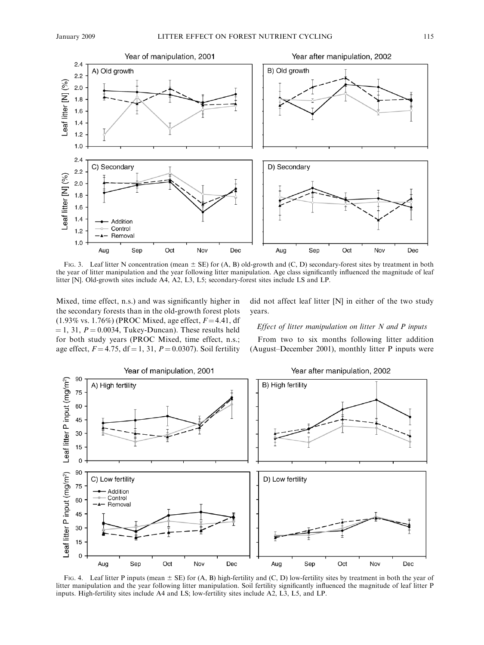

FIG. 3. Leaf litter N concentration (mean  $\pm$  SE) for (A, B) old-growth and (C, D) secondary-forest sites by treatment in both the year of litter manipulation and the year following litter manipulation. Age class significantly influenced the magnitude of leaf litter [N]. Old-growth sites include A4, A2, L3, L5; secondary-forest sites include LS and LP.

Mixed, time effect, n.s.) and was significantly higher in the secondary forests than in the old-growth forest plots (1.93% vs. 1.76%) (PROC Mixed, age effect,  $F = 4.41$ , df  $= 1, 31, P = 0.0034$ , Tukey-Duncan). These results held for both study years (PROC Mixed, time effect, n.s.; age effect,  $F = 4.75$ ,  $df = 1$ , 31,  $P = 0.0307$ ). Soil fertility did not affect leaf litter [N] in either of the two study years.

#### Effect of litter manipulation on litter N and P inputs

From two to six months following litter addition (August–December 2001), monthly litter P inputs were



FIG. 4. Leaf litter P inputs (mean  $\pm$  SE) for (A, B) high-fertility and (C, D) low-fertility sites by treatment in both the year of litter manipulation and the year following litter manipulation. Soil fertility significantly influenced the magnitude of leaf litter P inputs. High-fertility sites include A4 and LS; low-fertility sites include A2, L3, L5, and LP.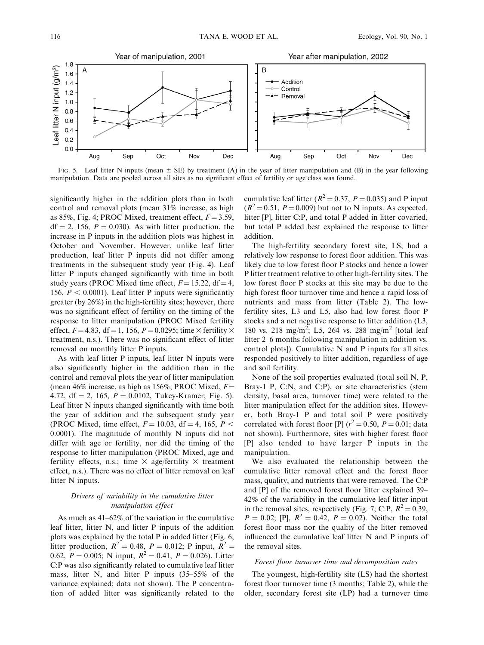

FIG. 5. Leaf litter N inputs (mean  $\pm$  SE) by treatment (A) in the year of litter manipulation and (B) in the year following manipulation. Data are pooled across all sites as no significant effect of fertility or age class was found.

significantly higher in the addition plots than in both control and removal plots (mean 31% increase, as high as 85%, Fig. 4; PROC Mixed, treatment effect,  $F = 3.59$ ,  $df = 2$ , 156,  $P = 0.030$ . As with litter production, the increase in P inputs in the addition plots was highest in October and November. However, unlike leaf litter production, leaf litter P inputs did not differ among treatments in the subsequent study year (Fig. 4). Leaf litter P inputs changed significantly with time in both study years (PROC Mixed time effect,  $F = 15.22$ , df = 4, 156,  $P < 0.0001$ ). Leaf litter P inputs were significantly greater (by 26%) in the high-fertility sites; however, there was no significant effect of fertility on the timing of the response to litter manipulation (PROC Mixed fertility effect,  $F = 4.83$ , df = 1, 156,  $P = 0.0295$ ; time  $\times$  fertility  $\times$ treatment, n.s.). There was no significant effect of litter removal on monthly litter P inputs.

As with leaf litter P inputs, leaf litter N inputs were also significantly higher in the addition than in the control and removal plots the year of litter manipulation (mean 46% increase, as high as 156%; PROC Mixed,  $F =$ 4.72, df = 2, 165,  $P = 0.0102$ , Tukey-Kramer; Fig. 5). Leaf litter N inputs changed significantly with time both the year of addition and the subsequent study year (PROC Mixed, time effect,  $F = 10.03$ , df = 4, 165, P < 0.0001). The magnitude of monthly N inputs did not differ with age or fertility, nor did the timing of the response to litter manipulation (PROC Mixed, age and fertility effects, n.s.; time  $\times$  age/fertility  $\times$  treatment effect, n.s.). There was no effect of litter removal on leaf litter N inputs.

## Drivers of variability in the cumulative litter manipulation effect

As much as 41–62% of the variation in the cumulative leaf litter, litter N, and litter P inputs of the addition plots was explained by the total P in added litter (Fig. 6; litter production,  $R^2 = 0.48$ ,  $P = 0.012$ ; P input,  $R^2 =$ 0.62,  $P = 0.005$ ; N input,  $R^2 = 0.41$ ,  $P = 0.026$ ). Litter C:P was also significantly related to cumulative leaf litter mass, litter N, and litter P inputs (35–55% of the variance explained; data not shown). The P concentration of added litter was significantly related to the

cumulative leaf litter ( $R^2 = 0.37$ ,  $P = 0.035$ ) and P input  $(R^2 = 0.51, P = 0.009)$  but not to N inputs. As expected, litter [P], litter C:P, and total P added in litter covaried, but total P added best explained the response to litter addition.

The high-fertility secondary forest site, LS, had a relatively low response to forest floor addition. This was likely due to low forest floor P stocks and hence a lower P litter treatment relative to other high-fertility sites. The low forest floor P stocks at this site may be due to the high forest floor turnover time and hence a rapid loss of nutrients and mass from litter (Table 2). The lowfertility sites, L3 and L5, also had low forest floor P stocks and a net negative response to litter addition (L3, 180 vs. 218 mg/m<sup>2</sup>; L5, 264 vs. 288 mg/m<sup>2</sup> [total leaf litter 2–6 months following manipulation in addition vs. control plots]). Cumulative N and P inputs for all sites responded positively to litter addition, regardless of age and soil fertility.

None of the soil properties evaluated (total soil N, P, Bray-1 P, C:N, and C:P), or site characteristics (stem density, basal area, turnover time) were related to the litter manipulation effect for the addition sites. However, both Bray-1 P and total soil P were positively correlated with forest floor [P]  $(r^2 = 0.50, P = 0.01;$  data not shown). Furthermore, sites with higher forest floor [P] also tended to have larger P inputs in the manipulation.

We also evaluated the relationship between the cumulative litter removal effect and the forest floor mass, quality, and nutrients that were removed. The C:P and [P] of the removed forest floor litter explained 39– 42% of the variability in the cumulative leaf litter input in the removal sites, respectively (Fig. 7; C:P,  $R^2 = 0.39$ ,  $P = 0.02$ ; [P],  $R^2 = 0.42$ ,  $P = 0.02$ ). Neither the total forest floor mass nor the quality of the litter removed influenced the cumulative leaf litter N and P inputs of the removal sites.

# Forest floor turnover time and decomposition rates

The youngest, high-fertility site (LS) had the shortest forest floor turnover time (3 months; Table 2), while the older, secondary forest site (LP) had a turnover time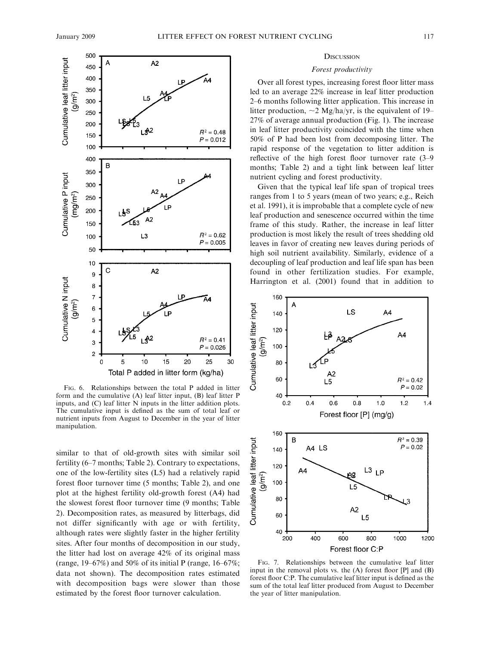

FIG. 6. Relationships between the total P added in litter form and the cumulative (A) leaf litter input, (B) leaf litter P inputs, and (C) leaf litter N inputs in the litter addition plots. The cumulative input is defined as the sum of total leaf or nutrient inputs from August to December in the year of litter manipulation.

similar to that of old-growth sites with similar soil fertility (6–7 months; Table 2). Contrary to expectations, one of the low-fertility sites (L5) had a relatively rapid forest floor turnover time (5 months; Table 2), and one plot at the highest fertility old-growth forest (A4) had the slowest forest floor turnover time (9 months; Table 2). Decomposition rates, as measured by litterbags, did not differ significantly with age or with fertility, although rates were slightly faster in the higher fertility sites. After four months of decomposition in our study, the litter had lost on average 42% of its original mass (range,  $19-67\%$ ) and  $50\%$  of its initial P (range,  $16-67\%$ ; data not shown). The decomposition rates estimated with decomposition bags were slower than those estimated by the forest floor turnover calculation.

#### **DISCUSSION**

#### Forest productivity

Over all forest types, increasing forest floor litter mass led to an average 22% increase in leaf litter production 2–6 months following litter application. This increase in litter production,  $\sim$  2 Mg/ha/yr, is the equivalent of 19– 27% of average annual production (Fig. 1). The increase in leaf litter productivity coincided with the time when 50% of P had been lost from decomposing litter. The rapid response of the vegetation to litter addition is reflective of the high forest floor turnover rate (3–9 months; Table 2) and a tight link between leaf litter nutrient cycling and forest productivity.

Given that the typical leaf life span of tropical trees ranges from 1 to 5 years (mean of two years; e.g., Reich et al. 1991), it is improbable that a complete cycle of new leaf production and senescence occurred within the time frame of this study. Rather, the increase in leaf litter production is most likely the result of trees shedding old leaves in favor of creating new leaves during periods of high soil nutrient availability. Similarly, evidence of a decoupling of leaf production and leaf life span has been found in other fertilization studies. For example, Harrington et al. (2001) found that in addition to



FIG. 7. Relationships between the cumulative leaf litter input in the removal plots vs. the (A) forest floor [P] and (B) forest floor C:P. The cumulative leaf litter input is defined as the sum of the total leaf litter produced from August to December the year of litter manipulation.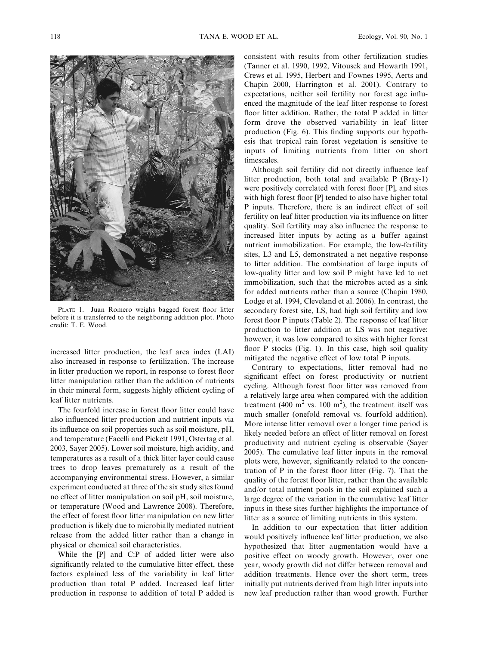

PLATE 1. Juan Romero weighs bagged forest floor litter before it is transferred to the neighboring addition plot. Photo credit: T. E. Wood.

increased litter production, the leaf area index (LAI) also increased in response to fertilization. The increase in litter production we report, in response to forest floor litter manipulation rather than the addition of nutrients in their mineral form, suggests highly efficient cycling of leaf litter nutrients.

The fourfold increase in forest floor litter could have also influenced litter production and nutrient inputs via its influence on soil properties such as soil moisture, pH, and temperature (Facelli and Pickett 1991, Ostertag et al. 2003, Sayer 2005). Lower soil moisture, high acidity, and temperatures as a result of a thick litter layer could cause trees to drop leaves prematurely as a result of the accompanying environmental stress. However, a similar experiment conducted at three of the six study sites found no effect of litter manipulation on soil pH, soil moisture, or temperature (Wood and Lawrence 2008). Therefore, the effect of forest floor litter manipulation on new litter production is likely due to microbially mediated nutrient release from the added litter rather than a change in physical or chemical soil characteristics.

While the [P] and C:P of added litter were also significantly related to the cumulative litter effect, these factors explained less of the variability in leaf litter production than total P added. Increased leaf litter production in response to addition of total P added is consistent with results from other fertilization studies (Tanner et al. 1990, 1992, Vitousek and Howarth 1991, Crews et al. 1995, Herbert and Fownes 1995, Aerts and Chapin 2000, Harrington et al. 2001). Contrary to expectations, neither soil fertility nor forest age influenced the magnitude of the leaf litter response to forest floor litter addition. Rather, the total P added in litter form drove the observed variability in leaf litter production (Fig. 6). This finding supports our hypothesis that tropical rain forest vegetation is sensitive to inputs of limiting nutrients from litter on short timescales.

Although soil fertility did not directly influence leaf litter production, both total and available P (Bray-1) were positively correlated with forest floor [P], and sites with high forest floor [P] tended to also have higher total P inputs. Therefore, there is an indirect effect of soil fertility on leaf litter production via its influence on litter quality. Soil fertility may also influence the response to increased litter inputs by acting as a buffer against nutrient immobilization. For example, the low-fertility sites, L3 and L5, demonstrated a net negative response to litter addition. The combination of large inputs of low-quality litter and low soil P might have led to net immobilization, such that the microbes acted as a sink for added nutrients rather than a source (Chapin 1980, Lodge et al. 1994, Cleveland et al. 2006). In contrast, the secondary forest site, LS, had high soil fertility and low forest floor P inputs (Table 2). The response of leaf litter production to litter addition at LS was not negative; however, it was low compared to sites with higher forest floor P stocks (Fig. 1). In this case, high soil quality mitigated the negative effect of low total P inputs.

Contrary to expectations, litter removal had no significant effect on forest productivity or nutrient cycling. Although forest floor litter was removed from a relatively large area when compared with the addition treatment (400 m<sup>2</sup> vs. 100 m<sup>2</sup>), the treatment itself was much smaller (onefold removal vs. fourfold addition). More intense litter removal over a longer time period is likely needed before an effect of litter removal on forest productivity and nutrient cycling is observable (Sayer 2005). The cumulative leaf litter inputs in the removal plots were, however, significantly related to the concentration of P in the forest floor litter (Fig. 7). That the quality of the forest floor litter, rather than the available and/or total nutrient pools in the soil explained such a large degree of the variation in the cumulative leaf litter inputs in these sites further highlights the importance of litter as a source of limiting nutrients in this system.

In addition to our expectation that litter addition would positively influence leaf litter production, we also hypothesized that litter augmentation would have a positive effect on woody growth. However, over one year, woody growth did not differ between removal and addition treatments. Hence over the short term, trees initially put nutrients derived from high litter inputs into new leaf production rather than wood growth. Further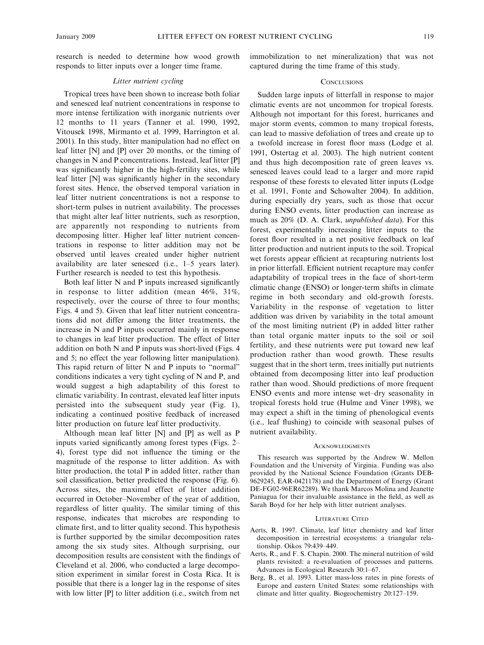research is needed to determine how wood growth responds to litter inputs over a longer time frame.

#### Litter nutrient cycling

Tropical trees have been shown to increase both foliar and senesced leaf nutrient concentrations in response to more intense fertilization with inorganic nutrients over 12 months to 11 years (Tanner et al. 1990, 1992, Vitousek 1998, Mirmanto et al. 1999, Harrington et al. 2001). In this study, litter manipulation had no effect on leaf litter [N] and [P] over 20 months, or the timing of changes in N and P concentrations. Instead, leaf litter [P] was significantly higher in the high-fertility sites, while leaf litter [N] was significantly higher in the secondary forest sites. Hence, the observed temporal variation in leaf litter nutrient concentrations is not a response to short-term pulses in nutrient availability. The processes that might alter leaf litter nutrients, such as resorption, are apparently not responding to nutrients from decomposing litter. Higher leaf litter nutrient concentrations in response to litter addition may not be observed until leaves created under higher nutrient availability are later senesced (i.e., 1–5 years later). Further research is needed to test this hypothesis.

Both leaf litter N and P inputs increased significantly in response to litter addition (mean 46%, 31%, respectively, over the course of three to four months; Figs. 4 and 5). Given that leaf litter nutrient concentrations did not differ among the litter treatments, the increase in N and P inputs occurred mainly in response to changes in leaf litter production. The effect of litter addition on both N and P inputs was short-lived (Figs. 4 and 5; no effect the year following litter manipulation). This rapid return of litter N and P inputs to ''normal'' conditions indicates a very tight cycling of N and P, and would suggest a high adaptability of this forest to climatic variability. In contrast, elevated leaf litter inputs persisted into the subsequent study year (Fig. 1), indicating a continued positive feedback of increased litter production on future leaf litter productivity.

Although mean leaf litter [N] and [P] as well as P inputs varied significantly among forest types (Figs. 2– 4), forest type did not influence the timing or the magnitude of the response to litter addition. As with litter production, the total P in added litter, rather than soil classification, better predicted the response (Fig. 6). Across sites, the maximal effect of litter addition occurred in October–November of the year of addition, regardless of litter quality. The similar timing of this response, indicates that microbes are responding to climate first, and to litter quality second. This hypothesis is further supported by the similar decomposition rates among the six study sites. Although surprising, our decomposition results are consistent with the findings of Cleveland et al. 2006, who conducted a large decomposition experiment in similar forest in Costa Rica. It is possible that there is a longer lag in the response of sites with low litter [P] to litter addition (i.e., switch from net immobilization to net mineralization) that was not captured during the time frame of this study.

#### **CONCLUSIONS**

Sudden large inputs of litterfall in response to major climatic events are not uncommon for tropical forests. Although not important for this forest, hurricanes and major storm events, common to many tropical forests, can lead to massive defoliation of trees and create up to a twofold increase in forest floor mass (Lodge et al. 1991, Ostertag et al. 2003). The high nutrient content and thus high decomposition rate of green leaves vs. senesced leaves could lead to a larger and more rapid response of these forests to elevated litter inputs (Lodge et al. 1991, Fonte and Schowalter 2004). In addition, during especially dry years, such as those that occur during ENSO events, litter production can increase as much as 20% (D. A. Clark, unpublished data). For this forest, experimentally increasing litter inputs to the forest floor resulted in a net positive feedback on leaf litter production and nutrient inputs to the soil. Tropical wet forests appear efficient at recapturing nutrients lost in prior litterfall. Efficient nutrient recapture may confer adaptability of tropical trees in the face of short-term climatic change (ENSO) or longer-term shifts in climate regime in both secondary and old-growth forests. Variability in the response of vegetation to litter addition was driven by variability in the total amount of the most limiting nutrient (P) in added litter rather than total organic matter inputs to the soil or soil fertility, and these nutrients were put toward new leaf production rather than wood growth. These results suggest that in the short term, trees initially put nutrients obtained from decomposing litter into leaf production rather than wood. Should predictions of more frequent ENSO events and more intense wet–dry seasonality in tropical forests hold true (Hulme and Viner 1998), we may expect a shift in the timing of phenological events (i.e., leaf flushing) to coincide with seasonal pulses of nutrient availability.

#### **ACKNOWLEDGMENTS**

This research was supported by the Andrew W. Mellon Foundation and the University of Virginia. Funding was also provided by the National Science Foundation (Grants DEB-9629245, EAR-0421178) and the Department of Energy (Grant DE-FG02-96ER62289). We thank Marcos Molina and Jeanette Paniagua for their invaluable assistance in the field, as well as Sarah Boyd for her help with litter nutrient analyses.

#### LITERATURE CITED

- Aerts, R. 1997. Climate, leaf litter chemistry and leaf litter decomposition in terrestrial ecosystems: a triangular relationship. Oikos 79:439–449.
- Aerts, R., and F. S. Chapin. 2000. The mineral nutrition of wild plants revisited: a re-evaluation of processes and patterns. Advances in Ecological Research 30:1–67.
- Berg, B., et al. 1993. Litter mass-loss rates in pine forests of Europe and eastern United States: some relationships with climate and litter quality. Biogeochemistry 20:127–159.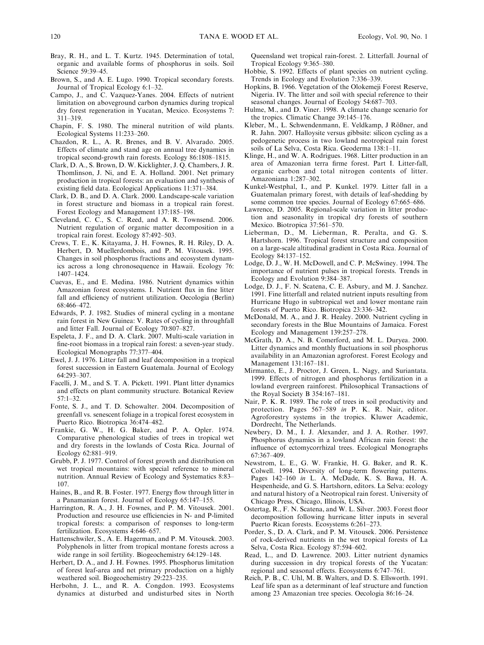- Bray, R. H., and L. T. Kurtz. 1945. Determination of total, organic and available forms of phosphorus in soils. Soil Science 59:39–45.
- Brown, S., and A. E. Lugo. 1990. Tropical secondary forests. Journal of Tropical Ecology 6:1–32.
- Campo, J., and C. Vazquez-Yanes. 2004. Effects of nutrient limitation on aboveground carbon dynamics during tropical dry forest regeneration in Yucatan, Mexico. Ecosystems 7: 311–319.
- Chapin, F. S. 1980. The mineral nutrition of wild plants. Ecological Systems 11:233–260.
- Chazdon, R. L., A. R. Brenes, and B. V. Alvarado. 2005. Effects of climate and stand age on annual tree dynamics in tropical second-growth rain forests. Ecology 86:1808–1815.
- Clark, D. A., S. Brown, D. W. Kicklighter, J. Q. Chambers, J. R. Thomlinson, J. Ni, and E. A. Holland. 2001. Net primary production in tropical forests: an evaluation and synthesis of existing field data. Ecological Applications 11:371–384.
- Clark, D. B., and D. A. Clark. 2000. Landscape-scale variation in forest structure and biomass in a tropical rain forest. Forest Ecology and Management 137:185–198.
- Cleveland, C. C., S. C. Reed, and A. R. Townsend. 2006. Nutrient regulation of organic matter decomposition in a tropical rain forest. Ecology 87:492–503.
- Crews, T. E., K. Kitayama, J. H. Fownes, R. H. Riley, D. A. Herbert, D. Muellerdombois, and P. M. Vitousek. 1995. Changes in soil phosphorus fractions and ecosystem dynamics across a long chronosequence in Hawaii. Ecology 76: 1407–1424.
- Cuevas, E., and E. Medina. 1986. Nutrient dynamics within Amazonian forest ecosystems. I. Nutrient flux in fine litter fall and efficiency of nutrient utilization. Oecologia (Berlin) 68:466–472.
- Edwards, P. J. 1982. Studies of mineral cycling in a montane rain forest in New Guinea: V. Rates of cycling in throughfall and litter Fall. Journal of Ecology 70:807–827.
- Espeleta, J. F., and D. A. Clark. 2007. Multi-scale variation in fine-root biomass in a tropical rain forest: a seven-year study. Ecological Monographs 77:377–404.
- Ewel, J. J. 1976. Litter fall and leaf decomposition in a tropical forest succession in Eastern Guatemala. Journal of Ecology 64:293–307.
- Facelli, J. M., and S. T. A. Pickett. 1991. Plant litter dynamics and effects on plant community structure. Botanical Review 57:1–32.
- Fonte, S. J., and T. D. Schowalter. 2004. Decomposition of greenfall vs. senescent foliage in a tropical forest ecosystem in Puerto Rico. Biotropica 36:474–482.
- Frankie, G. W., H. G. Baker, and P. A. Opler. 1974. Comparative phenological studies of trees in tropical wet and dry forests in the lowlands of Costa Rica. Journal of Ecology 62:881–919.
- Grubb, P. J. 1977. Control of forest growth and distribution on wet tropical mountains: with special reference to mineral nutrition. Annual Review of Ecology and Systematics 8:83– 107.
- Haines, B., and R. B. Foster. 1977. Energy flow through litter in a Panamanian forest. Journal of Ecology 65:147–155.
- Harrington, R. A., J. H. Fownes, and P. M. Vitousek. 2001. Production and resource use efficiencies in N- and P-limited tropical forests: a comparison of responses to long-term fertilization. Ecosystems 4:646–657.
- Hattenschwiler, S., A. E. Hagerman, and P. M. Vitousek. 2003. Polyphenols in litter from tropical montane forests across a wide range in soil fertility. Biogeochemistry 64:129–148.
- Herbert, D. A., and J. H. Fownes. 1995. Phosphorus limitation of forest leaf-area and net primary production on a highly weathered soil. Biogeochemistry 29:223–235.
- Herbohn, J. L., and R. A. Congdon. 1993. Ecosystems dynamics at disturbed and undisturbed sites in North

Queensland wet tropical rain-forest. 2. Litterfall. Journal of Tropical Ecology 9:365–380.

- Hobbie, S. 1992. Effects of plant species on nutrient cycling. Trends in Ecology and Evolution 7:336–339.
- Hopkins, B. 1966. Vegetation of the Olokemeji Forest Reserve, Nigeria. IV. The litter and soil with special reference to their seasonal changes. Journal of Ecology 54:687–703.
- Hulme, M., and D. Viner. 1998. A climate change scenario for the tropics. Climatic Change 39:145–176.
- Kleber, M., L. Schwendenmann, E. Veldkamp, J Rößner, and R. Jahn. 2007. Halloysite versus gibbsite: silicon cycling as a pedogenetic process in two lowland neotropical rain forest soils of La Selva, Costa Rica. Geoderma 138:1–11.
- Klinge, H., and W. A. Rodrigues. 1968. Litter production in an area of Amazonian terra firme forest. Part I. Litter-fall, organic carbon and total nitrogen contents of litter. Amazoniana 1:287–302.
- Kunkel-Westphal, I., and P. Kunkel. 1979. Litter fall in a Guatemalan primary forest, with details of leaf-shedding by some common tree species. Journal of Ecology 67:665–686.
- Lawrence, D. 2005. Regional-scale variation in litter production and seasonality in tropical dry forests of southern Mexico. Biotropica 37:561–570.
- Lieberman, D., M. Lieberman, R. Peralta, and G. S. Hartshorn. 1996. Tropical forest structure and composition on a large-scale altitudinal gradient in Costa Rica. Journal of Ecology 84:137–152.
- Lodge, D. J., W. H. McDowell, and C. P. McSwiney. 1994. The importance of nutrient pulses in tropical forests. Trends in Ecology and Evolution 9:384–387.
- Lodge, D. J., F. N. Scatena, C. E. Asbury, and M. J. Sanchez. 1991. Fine litterfall and related nutrient inputs resulting from Hurricane Hugo in subtropical wet and lower montane rain forests of Puerto Rico. Biotropica 23:336–342.
- McDonald, M. A., and J. R. Healey. 2000. Nutrient cycling in secondary forests in the Blue Mountains of Jamaica. Forest Ecology and Management 139:257–278.
- McGrath, D. A., N. B. Comerford, and M. L. Duryea. 2000. Litter dynamics and monthly fluctuations in soil phosphorus availability in an Amazonian agroforest. Forest Ecology and Management 131:167–181.
- Mirmanto, E., J. Proctor, J. Green, L. Nagy, and Suriantata. 1999. Effects of nitrogen and phosphorus fertilization in a lowland evergreen rainforest. Philosophical Transactions of the Royal Society B 354:167–181.
- Nair, P. K. R. 1989. The role of trees in soil productivity and protection. Pages 567–589 in P. K. R. Nair, editor. Agroforestry systems in the tropics. Kluwer Academic, Dordrecht, The Netherlands.
- Newbery, D. M., I. J. Alexander, and J. A. Rother. 1997. Phosphorus dynamics in a lowland African rain forest: the influence of ectomycorrhizal trees. Ecological Monographs 67:367–409.
- Newstrom, L. E., G. W. Frankie, H. G. Baker, and R. K. Colwell. 1994. Diversity of long-term flowering patterns. Pages 142–160 in L. A. McDade, K. S. Bawa, H. A. Hespenheide, and G. S. Hartshorn, editors. La Selva: ecology and natural history of a Neotropical rain forest. University of Chicago Press, Chicago, Illinois, USA.
- Ostertag, R., F. N. Scatena, and W. L. Silver. 2003. Forest floor decomposition following hurricane litter inputs in several Puerto Rican forests. Ecosystems 6:261–273.
- Porder, S., D. A. Clark, and P. M. Vitousek. 2006. Persistence of rock-derived nutrients in the wet tropical forests of La Selva, Costa Rica. Ecology 87:594–602.
- Read, L., and D. Lawrence. 2003. Litter nutrient dynamics during succession in dry tropical forests of the Yucatan: regional and seasonal effects. Ecosystems 6:747–761.
- Reich, P. B., C. Uhl, M. B. Walters, and D. S. Ellsworth. 1991. Leaf life span as a determinant of leaf structure and function among 23 Amazonian tree species. Oecologia 86:16–24.